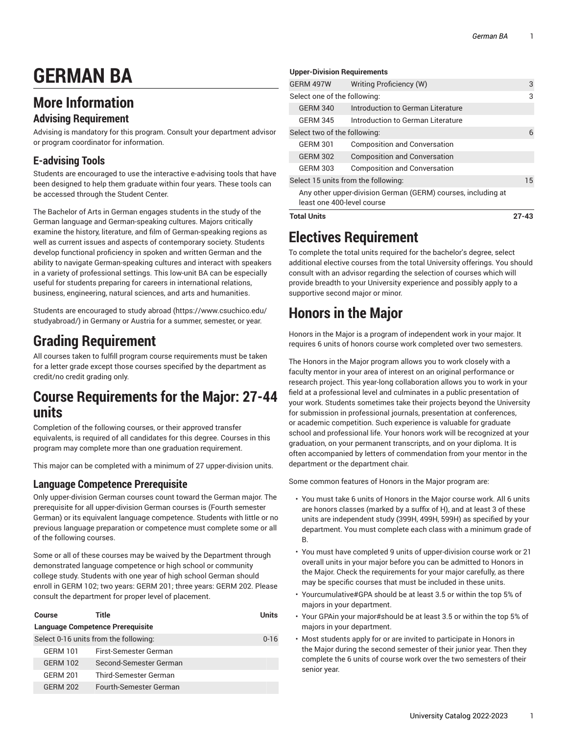# **GERMAN BA**

## **More Information**

### **Advising Requirement**

Advising is mandatory for this program. Consult your department advisor or program coordinator for information.

### **E-advising Tools**

Students are encouraged to use the interactive e-advising tools that have been designed to help them graduate within four years. These tools can be accessed through the Student Center.

The Bachelor of Arts in German engages students in the study of the German language and German-speaking cultures. Majors critically examine the history, literature, and film of German-speaking regions as well as current issues and aspects of contemporary society. Students develop functional proficiency in spoken and written German and the ability to navigate German-speaking cultures and interact with speakers in a variety of professional settings. This low-unit BA can be especially useful for students preparing for careers in international relations, business, engineering, natural sciences, and arts and humanities.

Students are encouraged to study [abroad \(https://www.csuchico.edu/](https://www.csuchico.edu/studyabroad/) [studyabroad/](https://www.csuchico.edu/studyabroad/)) in Germany or Austria for a summer, semester, or year.

# **Grading Requirement**

All courses taken to fulfill program course requirements must be taken for a letter grade except those courses specified by the department as credit/no credit grading only.

### **Course Requirements for the Major: 27-44 units**

Completion of the following courses, or their approved transfer equivalents, is required of all candidates for this degree. Courses in this program may complete more than one graduation requirement.

This major can be completed with a minimum of 27 upper-division units.

### **Language Competence Prerequisite**

Only upper-division German courses count toward the German major. The prerequisite for all upper-division German courses is (Fourth semester German) or its equivalent language competence. Students with little or no previous language preparation or competence must complete some or all of the following courses.

Some or all of these courses may be waived by the Department through demonstrated language competence or high school or community college study. Students with one year of high school German should enroll in GERM 102; two years: GERM 201; three years: GERM 202. Please consult the department for proper level of placement.

| Course                                  | Title                  | <b>Units</b> |
|-----------------------------------------|------------------------|--------------|
| <b>Language Competence Prerequisite</b> |                        |              |
| Select 0-16 units from the following:   |                        | $0 - 16$     |
| <b>GERM 101</b>                         | First-Semester German  |              |
| GFRM 102                                | Second-Semester German |              |
| <b>GFRM 201</b>                         | Third-Semester German  |              |
| <b>GFRM 202</b>                         | Fourth-Semester German |              |

#### **Upper-Division Requirements**

| <b>Total Units</b>                                                                         |                                     | $27 - 43$ |
|--------------------------------------------------------------------------------------------|-------------------------------------|-----------|
| Any other upper-division German (GERM) courses, including at<br>least one 400-level course |                                     |           |
| Select 15 units from the following:                                                        |                                     | 15        |
| <b>GERM 303</b>                                                                            | <b>Composition and Conversation</b> |           |
| <b>GERM 302</b>                                                                            | <b>Composition and Conversation</b> |           |
| <b>GERM 301</b>                                                                            | <b>Composition and Conversation</b> |           |
| Select two of the following:                                                               |                                     | 6         |
| <b>GERM 345</b>                                                                            | Introduction to German Literature   |           |
| <b>GERM 340</b>                                                                            | Introduction to German Literature   |           |
| Select one of the following:                                                               |                                     | 3         |
| GERM 497W                                                                                  | Writing Proficiency (W)             | 3         |
|                                                                                            |                                     |           |

### **Electives Requirement**

To complete the total units required for the bachelor's degree, select additional elective courses from the total University offerings. You should consult with an advisor regarding the selection of courses which will provide breadth to your University experience and possibly apply to a supportive second major or minor.

# **Honors in the Major**

Honors in the Major is a program of independent work in your major. It requires 6 units of honors course work completed over two semesters.

The Honors in the Major program allows you to work closely with a faculty mentor in your area of interest on an original performance or research project. This year-long collaboration allows you to work in your field at a professional level and culminates in a public presentation of your work. Students sometimes take their projects beyond the University for submission in professional journals, presentation at conferences, or academic competition. Such experience is valuable for graduate school and professional life. Your honors work will be recognized at your graduation, on your permanent transcripts, and on your diploma. It is often accompanied by letters of commendation from your mentor in the department or the department chair.

Some common features of Honors in the Major program are:

- You must take 6 units of Honors in the Major course work. All 6 units are honors classes (marked by a suffix of H), and at least 3 of these units are independent study (399H, 499H, 599H) as specified by your department. You must complete each class with a minimum grade of B.
- You must have completed 9 units of upper-division course work or 21 overall units in your major before you can be admitted to Honors in the Major. Check the requirements for your major carefully, as there may be specific courses that must be included in these units.
- Yourcumulative#GPA should be at least 3.5 or within the top 5% of majors in your department.
- Your GPAin your major#should be at least 3.5 or within the top 5% of majors in your department.
- Most students apply for or are invited to participate in Honors in the Major during the second semester of their junior year. Then they complete the 6 units of course work over the two semesters of their senior year.